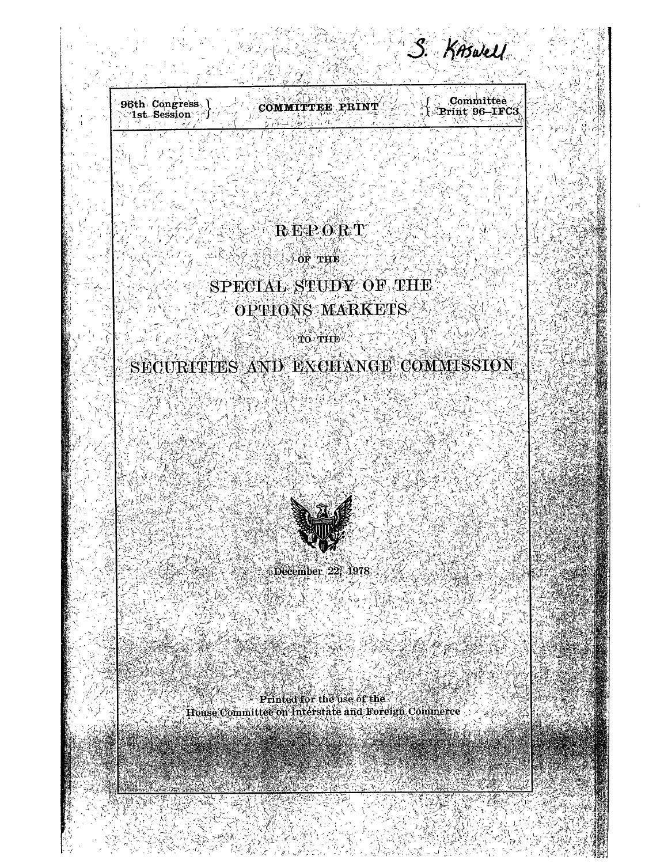96th Congress Committee COMMITTEE PRINT Print 96-IFC3

S. KAswell

## REPORT

(《美安桑全学》 THE

# SPECIAL STUDY OF THE OPTIONS MARKETS

**TO THE** 

# SECURITIES AND EXCHANGE COMMISSION

しきゅう

December 22, 1978

Printed for the use of the House Committee on Interstate and Foreign Commerce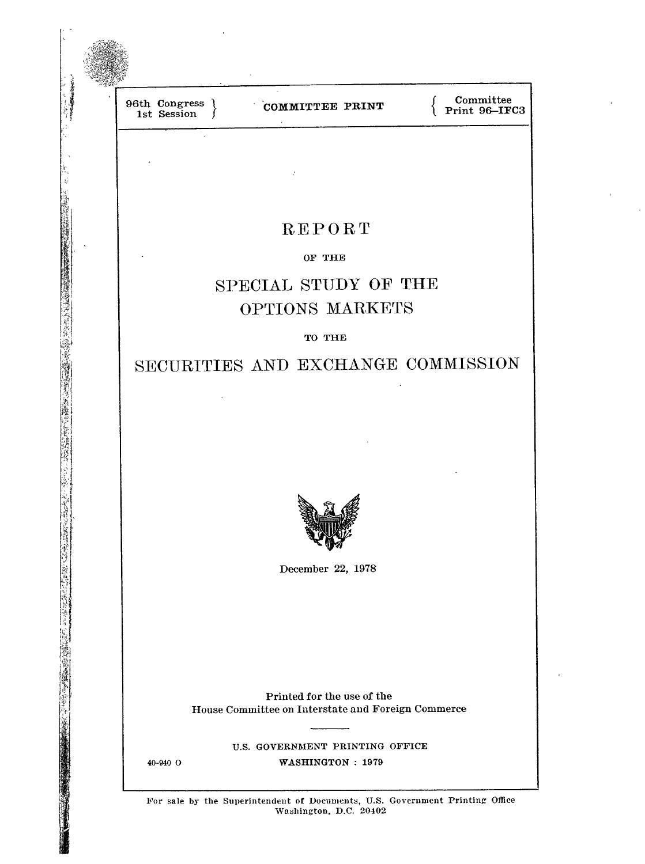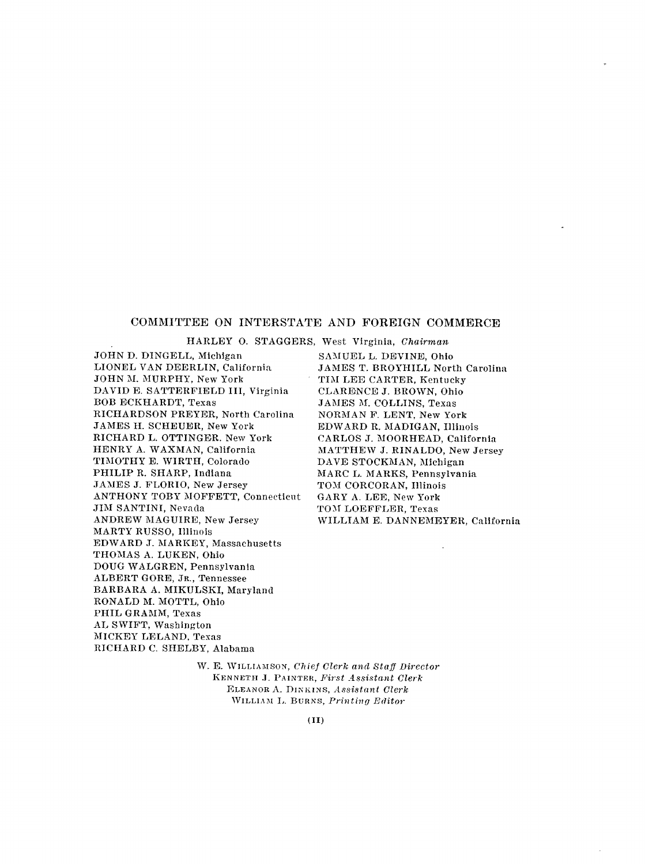#### **COMMITTEE ON INTERSTATE AND FOREIGN COMMERCE**

HARLEY O. STAGGERS, West Virginia, *Chairman*

JOHN D. DINGELL, Michigan LIONEL VAN DEERLIN, California JOHN M. MURPHY, New York DAVID E. SATTERFIELD III, Virginia BOB ECKHARDT, Texas RICHARDSON PREYER, North Carolina JAMES H. SCHEUER, New York RICHARD L. OTTINGER. New York HENRY A. WAXMAN, California TIMOTHY E. WIRTH, Colorado PHILIP R. SHARP, Indiana JAMES J. FLORIO, New Jersey ANTHONY TOBY MOFFETT, Connecticut JIM SANTINI, Nevada ANDREW MAGUIRE, New Jersey MARTY RUSSO, Illinois EDWARD **J.** MARKEY, Massachusetts THOMAS A. LUKEN, Ohio DOUG WALGREN, Pennsylvania ALBERT GORE, JR., Tennessee BARBARA A. MIKULSKI, Maryland RONALD M. MOTTL, Ohio PHIL GRAMM, Texas AL SWIFT, Washington MICKEY LELAND. Texas RICHARD C. SHELBY, Alabama

SAMUEL L. DEVINE, Ohio JAMES T. BROYHILL North Carolina TIM LEE CARTER, Kentucky CLARENCE J. BROWN, Ohio JAMES M. COLLINS, Texas NORMAN F. LENT, New York EDWARD R. MADIGAN, Illinois CARLOS J. MOORHEAD, California MATTHEW J. RINALDO, New Jersey DAVE STOCKMAN, Michigan MARC L. MARKS, Pennsylvania TOM CORCORAN, Illinois GARY A. LEE, New York TOM LOEFFLER, Texas WILLIAM E. DANNEMEYER, California

W. E. WILLIAMSON, *Chief Clerk and Staff Dircctor* KENNETH .]. PAINTER, *First Assistant Clerk* ELEANOR A. DINKINS, *Assistant Clerk* WILLIAM L. BURNS, *Printing Editor*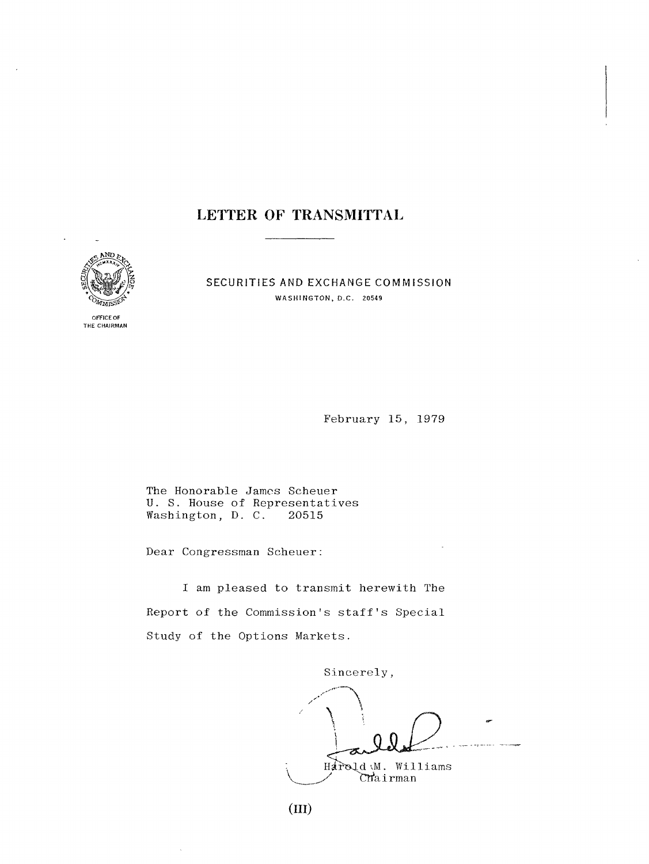### **LETTER OF TRANSMITTAL**



OFFICE OF **THE** CHAIRMAN SECURITIES **AND EXCHANGE** COMMISSION WASHINGTON, D.C. 20549

February 15, 1979

The Honorable James Scheuer U. S. House of Representatives Washington,  $D. C.$ 20515

Dear Congressman Scheuer

I am pleased to transmit herewith The Report of the Commission's staff's Special Study of the Options Markets.

Sincerely,

Harold M. Williams ~.~./ CT~a i rman s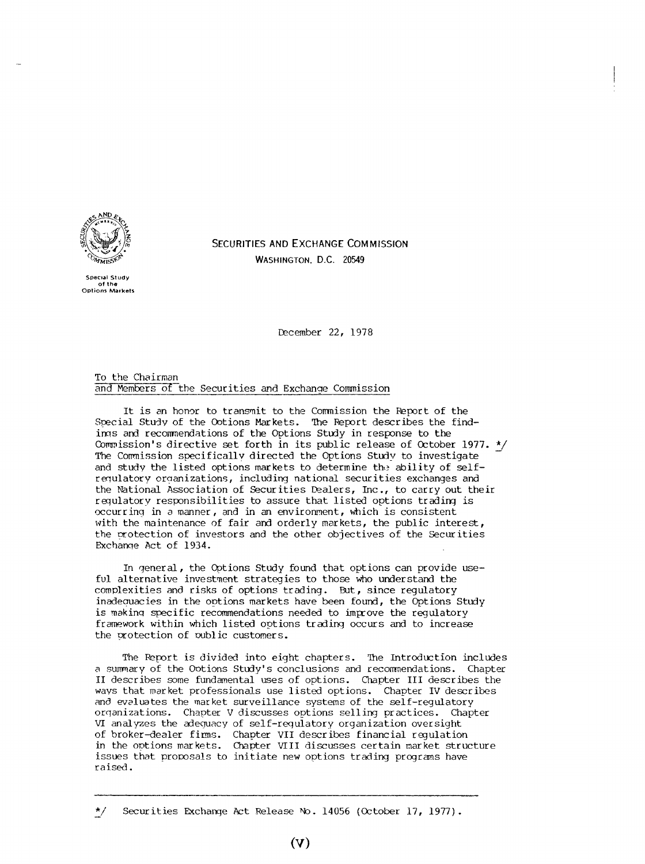

**Special Study of the Options Markets** **SECURITIES AND EXCHANGE COMMISSION** WASHINGTON. D.C. 20549

December 22, 1978

To the Chairman and Members of the Securities and Exchange Commission

It is an honor to transmit to the Commission the Report of the Special Study of the Ootions Markets. The Report describes the findings and recommendations of the Options Study in response to the Commission's directive set forth in its public release of October 1977. \*/ The Commission specifically directed the Options Study to investigate and study the listed options markets to determine the ability of selfregulatory organizations, including national securities exchanges and the National Association of Securities Dealers, Inc., to carry out their requlatory responsibilities to assure that listed options trading is  $occurring$  in a manner, and in an environment, which is consistent with the maintenance of fair and orderly markets, the public interest, the crotection of investors and the other objectives of the Securities Exchange Act of 1934.

In general, the Options Study found that options can provide useful alternative investment strategies to those who understand the complexities and risks of options trading. But, since regulatory inadeouacies in the options markets have been found, the Options Study is making specific recommendations needed to improve the regulatory framework within which listed options trading occurs and to increase the protection of public customers.

The Report is divided into eight chapters. The Introduction includes a summary of the Ootions Study's conclusions and recommendations. Chapter II describes some fundamental uses of options. Chapter III describes the ways that market professionals use listed options. Chapter IV describes and evaluates the market surveillance systems of the self-regulatory orqanizations. Chapter V discusses options selling practices. Chapter VI analyzes the adequacy of self-requlatory organization oversight of broker-dealer firms. Chapter VII describes financial regulation in the options markets. Chapter VIII discusses certain market structure issues that proposals to initiate new options trading programs have raised.

<sup>\*/</sup> Securities Exchange Act Release No. 14056 (October 17, 1977).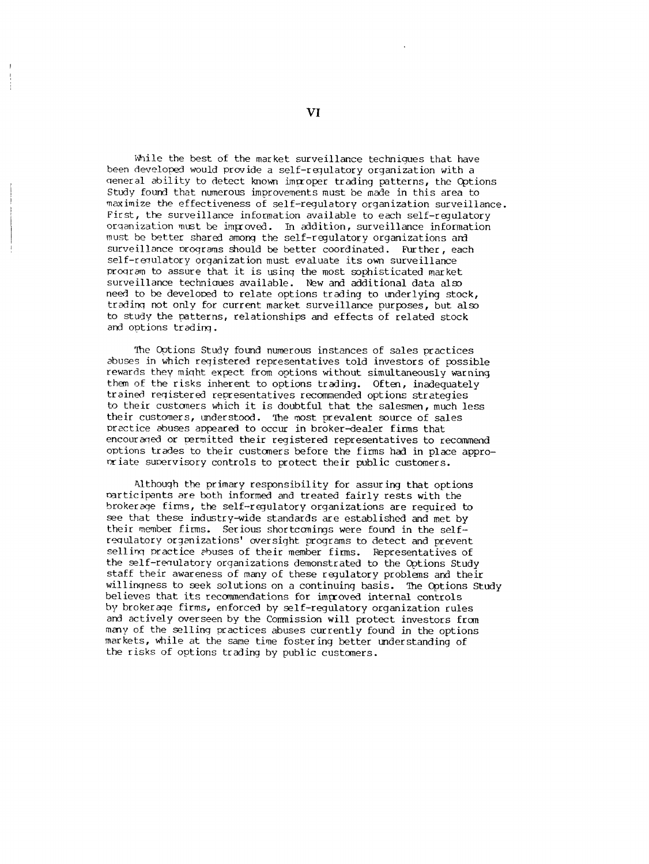While the best of the market surveillance technigues that have been developed would provide a self-regulatory organization with a general ability to detect known improper trading patterns, the Options Study found that numerous improvements must be made in this area to maximize the effectiveness of self-regulatory organization surveillance. First, the surveillance information available to each self-regulatory organization must be improved. In addition, surveillance information must be better shared among\_ the self-regulatory organizations and surveillance orograms should be better coordinated. Further, each self-requlatory organization must evaluate its own surveillance program to assure that it is using the most sophisticated market surveillance techniaues available. New and additional data also need to be developed to relate options trading to underlying stock, trading not only for current market surveillance purposes, but also to study the patterns, relationships and effects of related stock and options trading.

The Options Study found numerous instances of sales practices abuses in which registered representatives told investors of possible rewards they might e×pect from options without simultaneously warning them of the risks inherent to options trading. Often, inadequately trained registered representatives recommended options strategies to their customers which it is doubtful that the salesmen, much less their customers, understood. The most prevalent source of sales practice abuses appeared to occur in broker-dealer firms that encouraged or permitted their registered representatives to recommend options trades to their customers before the firms had in place approoriate sumervisory controls to protect their public customers.

Although the primary responsibility for assuring that options narticipants are both informed and treated fairly rests with the brokerage finns, the self-regulatory organizations are required to see that these industry-wide standards are established and met by their member firms. Serious shortcomings were found in the selfregulatory organizations' oversight programs to detect and prevent selling practice ebuses of their member firms. Representatives of the self-requiatory organizations demonstrated to the Options Study staff their awareness of many of these regulatory problems and their willingness to seek solutions on a continuing basis. The Options Study believes that its recommendations for improved internal controls by brokerage firms, enforced by self-regulatory organization rules and actively overseen by the Commission will protect investors from many of the selling practices abuses currently found in the options markets, while at the same time fostering better understanding of the risks of options trading by public customers.

**V!**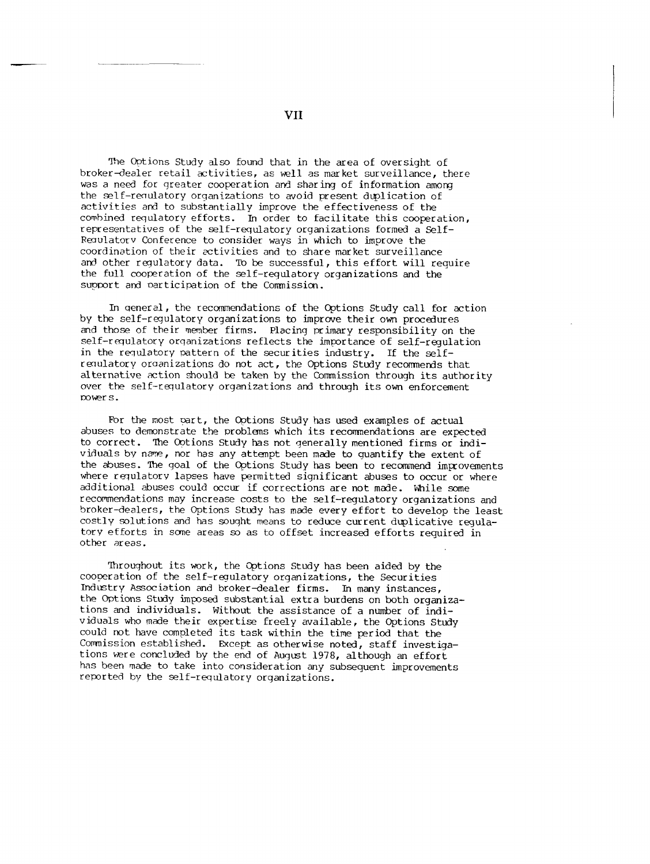The Options Study also found that in the area of oversight of broker-dealer retail activities, as well as market surveillance, there was a need for greater cooperation and sharing of information among the self-requiatory organizations to avoid present duplication of activities and to substantially improve the effectiveness of the combined requlatory efforts. In order to facilitate this cooperation, representatives of the self-requlatory organizations formed a Self-Regulatory Conference to consider ways in which to improve the coordination of their activities and to share market surveillance and other requlatory data. To be successful, this effort will require the full cooperation of the self-regulatory organizations and the support and oarticipation of the Commission.

In general, the recommendations of the Options Study call for action by the self-regulatory organizations to improve their own procedures and those of their member firms. Placing primary responsibility on the self-requlatory organizations reflects the importance of self-requlation in the requlatory pattern of the securities industry. If the selfremulatory oraanizations do not act, the Options Study recommends that alternative action should be taken by the Commission through its authority over the self-requlatory organizations and through its own enforcement Dower s.

For the most part, the Options Study has used examples of actual abuses to demonstrate the problems which its recommendations are expected to correct. The Ootions Study has not generally mentioned firms or individuals by name, nor has any attempt been made to quantify the extent of the abuses. The goal of the Options Study has been to recommend improvements where requlatorv lapses have permitted significant abuses to occur or where additional abuses could occur if corrections are not made. While some recommendations may increase costs to the self-regulatory organizations and broker-dealers, the Options Study has made every effort to develop the least costly solutions and has sought means to reduce current duplicative regulatory efforts in some areas so as to offset increased efforts required in other areas.

Throughout its work, the Options Study has been aided by the coooeration of the self-regulatory organizations, the Securities Industry Association and broker-dealer firms. In many instances, the Options Study imposed substantial extra burdens on both organizations and individuals. Without the assistance of a number of individuals who made their expertise freely available, the options Study could not have completed its task within the time period that the Commission established. Except as otherwise noted, staff investigations were concluded by the end of August 1978, although an effort has been made to take into consideration any subsequent improvements reported by the self-requlatory organizations.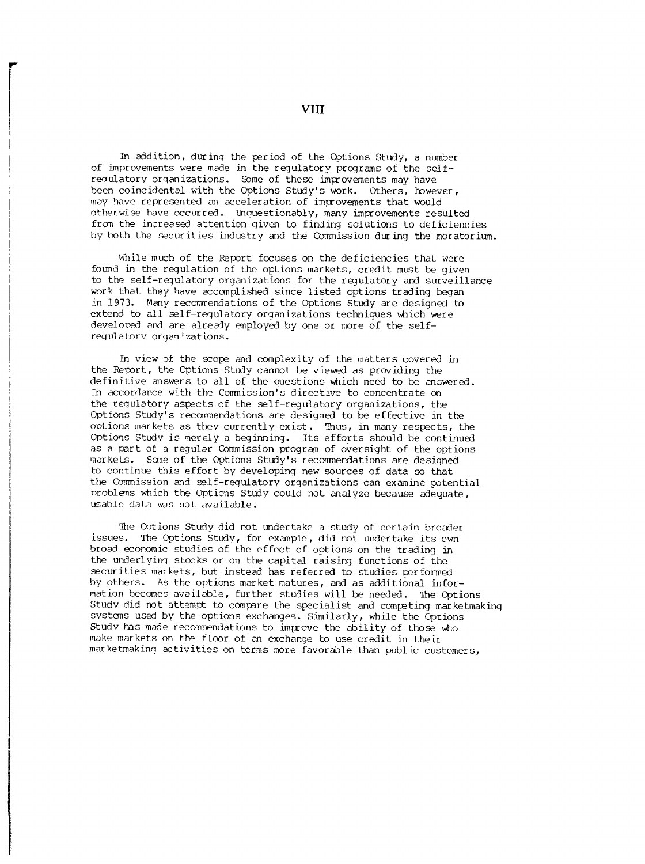In addition, durinq the period of the Options Study, a number of improvements were made in the regulatory programs of the selfreoulatory orqanizations. Some of these improvements may have been coincidental with the Options Study's work. Others, however, may have represented an acceleration of improvements that would otherwise have occurred. Inquestionably, many improvements resulted from the increased attention given to finding solutions to deficiencies by both the securities industry and the Commission during the moratorium.

While much of the Report focuses on the deficiencies that were found in the requlation of the options markets, credit must be given to the self-regulatory organizations for the regulatory and surveillance work that they have accomplished since listed options trading began in 1973. Many recommendations of the Options Study are designed to extend to all self-regulatory organizations techniques which were developed and are already employed by one or more of the selfrequlatorv organizations.

In view of the scope and complexity of the matters covered in the Report, the Options Study cannot be viewed as providing the definitive answers to all of the ouestions which need to be answered. In accordance with the Commission's directive to concentrate on the requlatory aspects of the self-regulatory organizations, the Ootions Study's recommendations are designed to be effective in the options markets as they currently exist. Thus, in many respects, the Ontions Study is merely a beginning. Its efforts should be continued as a part of a regular Commission program of oversight of the options markets. Some of the Options Study's recommendations are designed to continue this effort by developing new sources of data so that the Commission and self-regulatory organizations can examine potential oroblems which the Options Study could not analyze because adequate, usable data was not available.

The Ootions Study did not undertake a study of certain broader issues. The Options Study, for example, did not undertake its own broad economic studies of the effect of options on the trading in the underlyinq stocks or on the capital raising functions of the securities markets, but instead has referred to studies performed by others. As the options market matures, and as additional information becomes available, further studies will be needed. The Options Study did not attempt to compare the specialist and competing marketmaking systems used by the options exchanges. Similarly, while the Options Study has made recommendations to improve the ability of those who make markets on the floor of an exchange to use credit in their marketmaking activities on terms more favorable than public customers,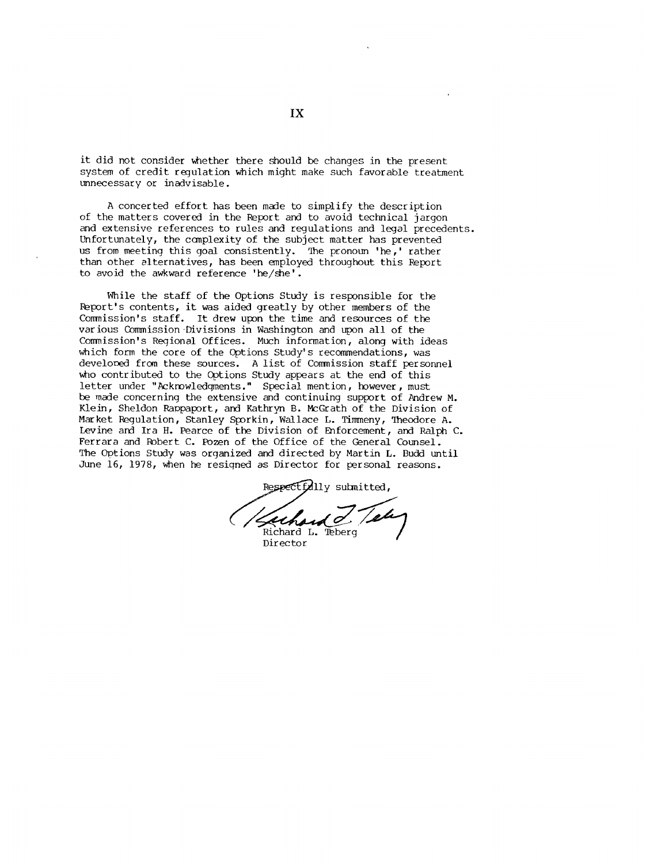it did not consider whether there should be changes in the present system of credit regulation which might make such favorable treatment unnecessary or inadvisable.

A concerted effort has been made to simplify the description of the matters covered in the Report and to avoid technical jargon and extensive references to rules and regulations and legal precedents. Unfortunately, the complexity of the subject matter has prevented us from meeting this goal consistently. The pronoun 'he,' rather than other alternatives, has been employed throughout this Report to avoid the awkward reference 'he/she'.

While the staff of the Options Study is responsible for the Report's contents, it was aided greatly by other members of the Commission's staff. It drew upon the time and resources of the various Commission Divisions in Washington and upon all of the Commission's Regional Offices. Much information, along with ideas which form the core of the Options Study's recommendations, was developed from these sources. A list of Commission staff personnel who contributed to the Options Study appears at the end of this letter under "Acknowledqments." Special mention, however, must be made concerning the extensive and continuing support of Andrew M. Klein, Sheldon Rappaport, and Kathryn B. McGrath of the Division of Market Regulation, Stanley Sporkin, Wallace L. Timmeny, Theodore A. Levine and Ira H. Pearce of the Division of Enforcement, and Ralph C. Ferrara and Robert C. Pozen of the Office of the General Counsel. The Options Study was organized and directed by Martin L. Budd until June 16, 1978, when he resiqned as Director for personal reasons.

Respectfully submitted, Richard L.

Director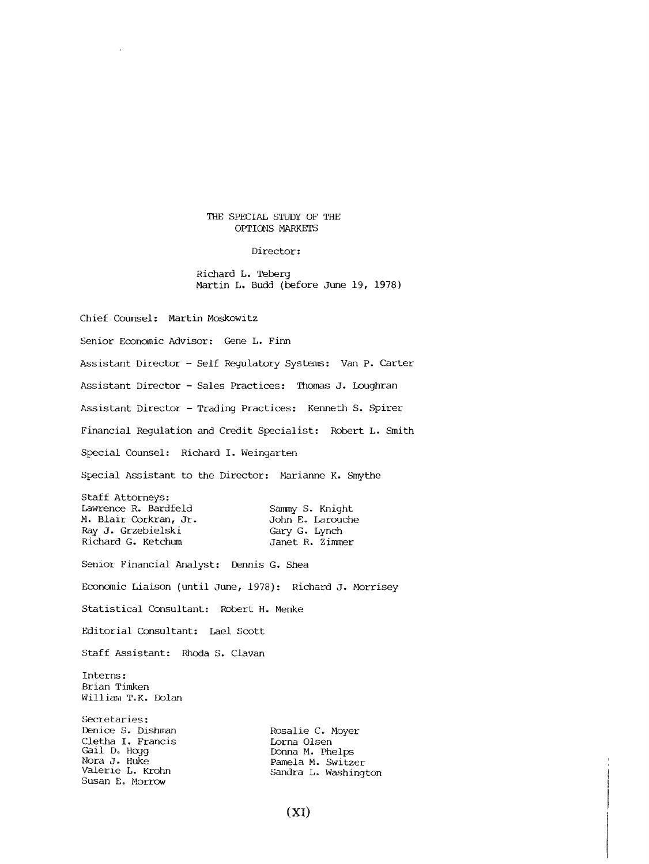#### THE SPECIAL STUDY OF THE OPTIONS MARKETS

Director:

Richard L. Teberg Martin L. Budd (before June 19, 1978)

Chief Counsel: Martin Moskowitz Senior Economic Advisor: Gene L. Finn Assistant Director - Self Regulatory Systems: Van P. Carter Assistant Director - Sales Practices: Thomas J. Loughran Assistant Director - Trading Practices: Kenneth S. Spirer Financial Regulation and Credit Specialist: Robert L. Smith Special Counsel: Richard I. Weingarten Special Assistant to the Director: Marianne K. Smythe Staff Attorneys: Lawrence R. Bardfeld M. Blair Corkran, Jr. Ray J. Grzebielski Richard G. Ketchum Senior Financial Analyst: Dennis G. Shea Sanmy S. Knight John E. Larouche Gary G. Lynch Janet R. Zimmer Economic Liaison (until June, 1978): Richard J. Morrisey Statistical Consultant: Robert H. Menke Editorial Consultant: Lael Scott Staff Assistant: Rhoda S. Clavan Interns : Brian Timken William T.K. Dolan Secretaries: Denice S. Dishman Cletha I. Francis Gail Do Hogg Nora J. Huke Valerie L. Krohn Rosalie C. Moyer Lorna Olsen Donna M. Phelps Pamela M. Switzer Sandra L. Washington

Susan E. Morrow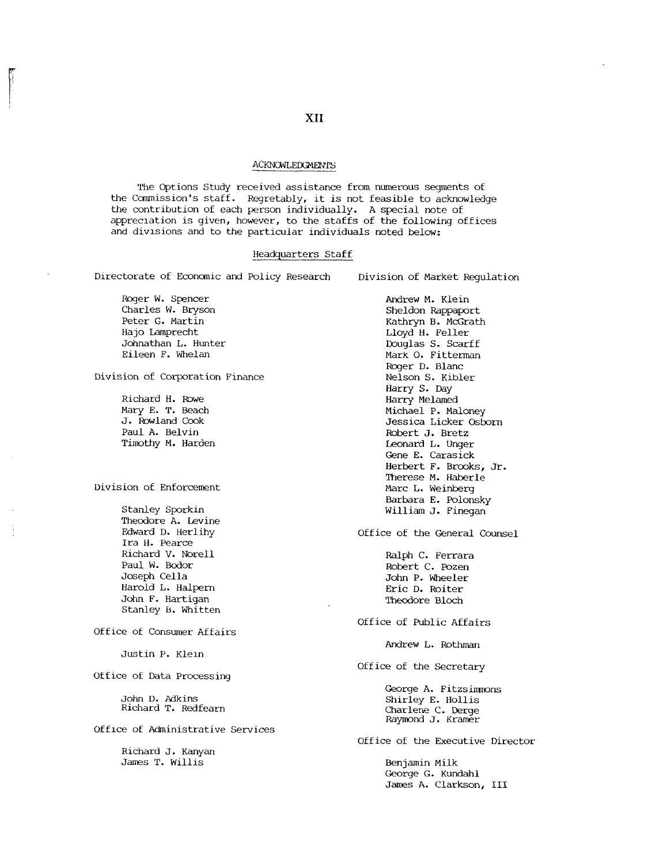#### **ACKNOWLEDGMENTS**

The Options Study received assistance from numerous segments of the Ccmmission's staff. Regretably, it is not feasible to acknowledge the contribution of each person individually. A special note of appreczation is given, however, to the staffs of the following offices and divisions and to the particular individuals noted below:

#### Headquarters Staff

Directorate of Economic and Policy Research Division of Market Regulation

Roger W. Spencer Charles W. Bryson Peter G. Martin Hajo Lamprecht Johnathan L. Hunter Eileen F. Whelan

Division of Corporation Finance

Richard H. Rowe Mary E. T. Beach J. Rowland Cook Paul A. Belvin Timothy M. Harden

#### Division of Enforcement

Stanley Sporkin Theodore A. Levine Edward D. Herlihy Ira H. Pearce Richard V. Norell Paul W. Bodor Joseph Cella Harold L. Halpern John F. Hartigan Stanley B. Whitten

Office of Consumer Affairs

Justin P. Klein

Office of Data Processing

John D. Adkins Richard T. Redfearn

Offlce of Administrative Services

Richard J. Kanyan James T. Willis

Andrew M. Klein Sheldon Rappaport Kathryn B. McGrath Lloyd H. Feller Douglas S. Scarff Mark O. Fitterman Roger D. Blanc Nelson S. Kibler Harry S. Day Harry Melamed Michael P. Maloney Jessica Licker Osborn Robert J. Bretz Leonard L. Unger **Gene E. Carasick Herbert F. Brooks, Jr. Therese M. Haberle Marc L. Weinberg Barbara E. Polonsky William J. Finegan**

Office of the General Counsel

Ralph C. Ferrara Robert C. Pozen John P. Wheeler Eric D. Roiter Theodore Bloch

Office of Public Affairs

Andrew L. Rothman

Office of the Secretary

George A. Fitzsimmons Shirley E. Hollis Charlene C. Derge Raymond J. Kramer

Office of the Executive Director

Benjamin Milk George G. Kundahl James A. Clarkson, III